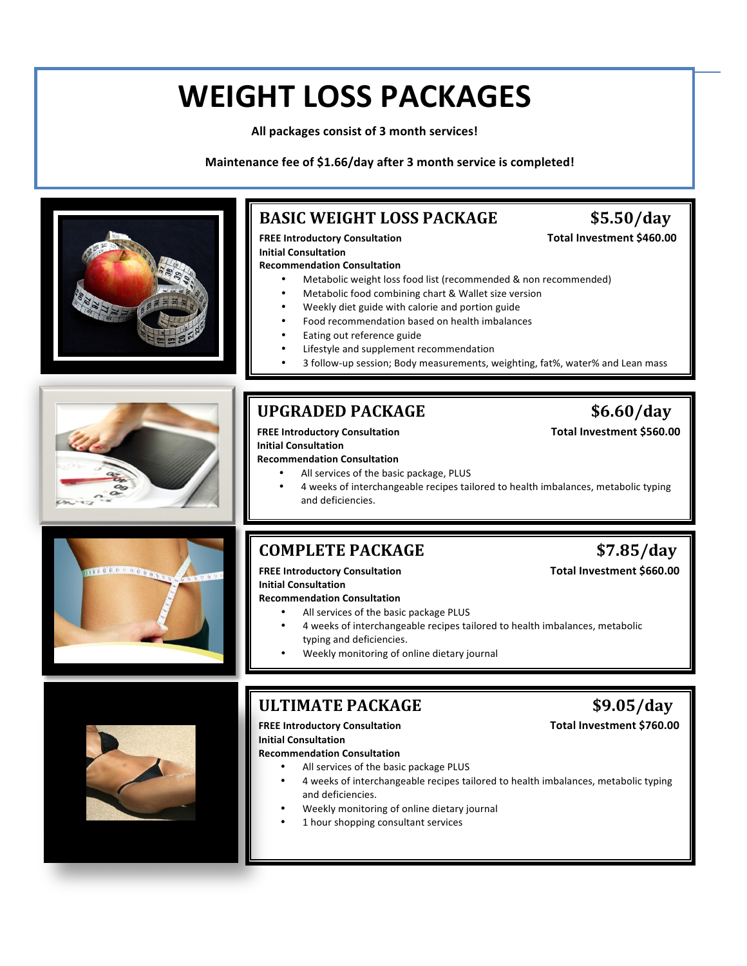# **WEIGHT LOSS PACKAGES**

All packages consist of 3 month services!

**Maintenance fee of \$1.66/day after 3 month service is completed!**